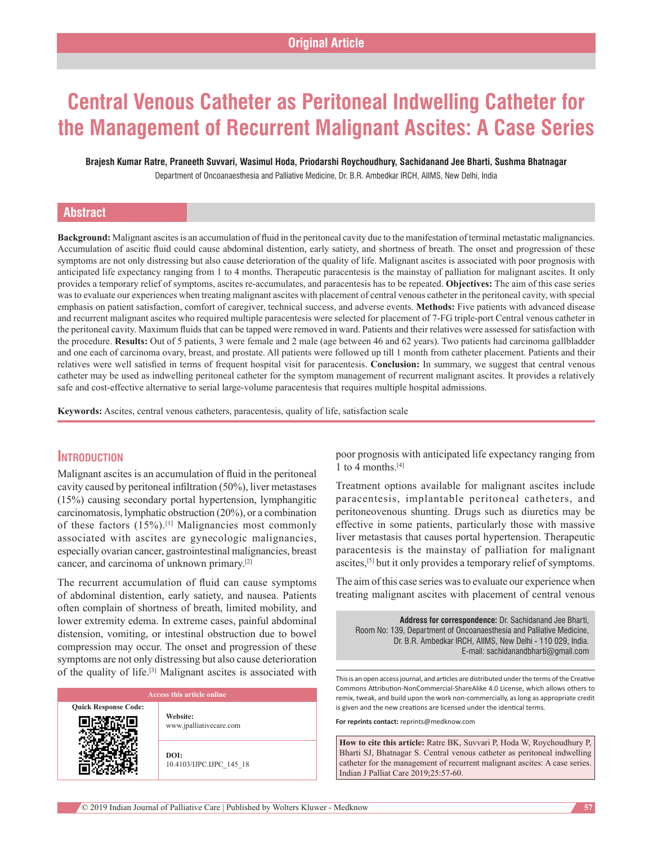# **Central Venous Catheter as Peritoneal Indwelling Catheter for the Management of Recurrent Malignant Ascites: A Case Series**

**Brajesh Kumar Ratre, Praneeth Suvvari, Wasimul Hoda, Priodarshi Roychoudhury, Sachidanand Jee Bharti, Sushma Bhatnagar** Department of Oncoanaesthesia and Palliative Medicine, Dr. B.R. Ambedkar IRCH, AIIMS, New Delhi, India

### **Abstract**

**Background:** Malignant ascitesis an accumulation of fluid in the peritoneal cavity due to the manifestation of terminal metastatic malignancies. Accumulation of ascitic fluid could cause abdominal distention, early satiety, and shortness of breath. The onset and progression of these symptoms are not only distressing but also cause deterioration of the quality of life. Malignant ascites is associated with poor prognosis with anticipated life expectancy ranging from 1 to 4 months. Therapeutic paracentesis is the mainstay of palliation for malignant ascites. It only provides a temporary relief of symptoms, ascites re-accumulates, and paracentesis has to be repeated. **Objectives:** The aim of this case series was to evaluate our experiences when treating malignant ascites with placement of central venous catheter in the peritoneal cavity, with special emphasis on patient satisfaction, comfort of caregiver, technical success, and adverse events. **Methods:** Five patients with advanced disease and recurrent malignant ascites who required multiple paracentesis were selected for placement of 7-FG triple-port Central venous catheter in the peritoneal cavity. Maximum fluids that can be tapped were removed in ward. Patients and their relatives were assessed for satisfaction with the procedure. **Results:** Out of 5 patients, 3 were female and 2 male (age between 46 and 62 years). Two patients had carcinoma gallbladder and one each of carcinoma ovary, breast, and prostate. All patients were followed up till 1 month from catheter placement. Patients and their relatives were well satisfied in terms of frequent hospital visit for paracentesis. **Conclusion:** In summary, we suggest that central venous catheter may be used as indwelling peritoneal catheter for the symptom management of recurrent malignant ascites. It provides a relatively safe and cost-effective alternative to serial large-volume paracentesis that requires multiple hospital admissions.

**Keywords:** Ascites, central venous catheters, paracentesis, quality of life, satisfaction scale

# **Introduction**

Malignant ascites is an accumulation of fluid in the peritoneal cavity caused by peritoneal infiltration (50%), liver metastases (15%) causing secondary portal hypertension, lymphangitic carcinomatosis, lymphatic obstruction (20%), or a combination of these factors  $(15%)$ .<sup>[1]</sup> Malignancies most commonly associated with ascites are gynecologic malignancies, especially ovarian cancer, gastrointestinal malignancies, breast cancer, and carcinoma of unknown primary.[2]

The recurrent accumulation of fluid can cause symptoms of abdominal distention, early satiety, and nausea. Patients often complain of shortness of breath, limited mobility, and lower extremity edema. In extreme cases, painful abdominal distension, vomiting, or intestinal obstruction due to bowel compression may occur. The onset and progression of these symptoms are not only distressing but also cause deterioration of the quality of life.[3] Malignant ascites is associated with

# **Quick Response Code: Website:** www.jpalliativecare.com

**DOI:** 10.4103/IJPC.IJPC\_145\_18 poor prognosis with anticipated life expectancy ranging from 1 to 4 months.<sup>[4]</sup>

Treatment options available for malignant ascites include paracentesis, implantable peritoneal catheters, and peritoneovenous shunting. Drugs such as diuretics may be effective in some patients, particularly those with massive liver metastasis that causes portal hypertension. Therapeutic paracentesis is the mainstay of palliation for malignant ascites,[5] but it only provides a temporary relief of symptoms.

The aim of this case series was to evaluate our experience when treating malignant ascites with placement of central venous

**Address for correspondence:** Dr. Sachidanand Jee Bharti, Room No: 139, Department of Oncoanaesthesia and Palliative Medicine, Dr. B.R. Ambedkar IRCH, AllMS, New Delhi - 110 029, India. E‑mail: sachidanandbharti@gmail.com

This is an open access journal, and articles are distributed under the terms of the Creative Commons Attribution‑NonCommercial‑ShareAlike 4.0 License, which allows others to remix, tweak, and build upon the work non‑commercially, as long as appropriate credit is given and the new creations are licensed under the identical terms.

**For reprints contact:** reprints@medknow.com

**How to cite this article:** Ratre BK, Suvvari P, Hoda W, Roychoudhury P, Bharti SJ, Bhatnagar S. Central venous catheter as peritoneal indwelling catheter for the management of recurrent malignant ascites: A case series. Indian J Palliat Care 2019;25:57-60.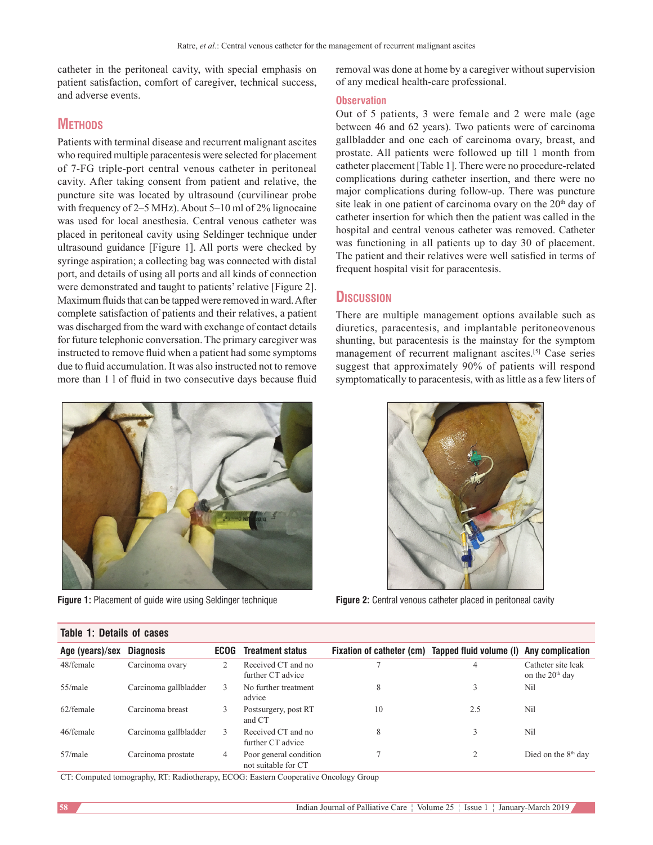catheter in the peritoneal cavity, with special emphasis on patient satisfaction, comfort of caregiver, technical success, and adverse events.

# **METHODS**

Patients with terminal disease and recurrent malignant ascites who required multiple paracentesis were selected for placement of 7-FG triple-port central venous catheter in peritoneal cavity. After taking consent from patient and relative, the puncture site was located by ultrasound (curvilinear probe with frequency of  $2-5$  MHz). About  $5-10$  ml of  $2\%$  lignocaine was used for local anesthesia. Central venous catheter was placed in peritoneal cavity using Seldinger technique under ultrasound guidance [Figure 1]. All ports were checked by syringe aspiration; a collecting bag was connected with distal port, and details of using all ports and all kinds of connection were demonstrated and taught to patients' relative [Figure 2]. Maximum fluids that can be tapped were removed in ward. After complete satisfaction of patients and their relatives, a patient was discharged from the ward with exchange of contact details for future telephonic conversation. The primary caregiver was instructed to remove fluid when a patient had some symptoms due to fluid accumulation. It was also instructed not to remove more than 1 l of fluid in two consecutive days because fluid



**Table 1: Details of cases**

removal was done at home by a caregiver without supervision of any medical health-care professional.

#### **Observation**

Out of 5 patients, 3 were female and 2 were male (age between 46 and 62 years). Two patients were of carcinoma gallbladder and one each of carcinoma ovary, breast, and prostate. All patients were followed up till 1 month from catheter placement [Table 1]. There were no procedure-related complications during catheter insertion, and there were no major complications during follow-up. There was puncture site leak in one patient of carcinoma ovary on the 20<sup>th</sup> day of catheter insertion for which then the patient was called in the hospital and central venous catheter was removed. Catheter was functioning in all patients up to day 30 of placement. The patient and their relatives were well satisfied in terms of frequent hospital visit for paracentesis.

#### **Discussion**

There are multiple management options available such as diuretics, paracentesis, and implantable peritoneovenous shunting, but paracentesis is the mainstay for the symptom management of recurrent malignant ascites.[5] Case series suggest that approximately 90% of patients will respond symptomatically to paracentesis, with as little as a few liters of



**Figure 1:** Placement of guide wire using Seldinger technique **Figure 2:** Central venous catheter placed in peritoneal cavity

| TADIG T. DGIAHS UT GASGS |                       |      |                                               |                           |                                          |                                         |
|--------------------------|-----------------------|------|-----------------------------------------------|---------------------------|------------------------------------------|-----------------------------------------|
| Age (years)/sex          | <b>Diagnosis</b>      | ECOG | <b>Treatment status</b>                       | Fixation of catheter (cm) | Tapped fluid volume (I) Any complication |                                         |
| 48/female                | Carcinoma ovary       | 2    | Received CT and no<br>further CT advice       |                           | 4                                        | Catheter site leak<br>on the $20th$ day |
| 55/male                  | Carcinoma gallbladder |      | No further treatment<br>advice                | 8                         | 3                                        | Nil                                     |
| 62/female                | Carcinoma breast      |      | Postsurgery, post RT<br>and CT                | 10                        | 2.5                                      | Nil                                     |
| 46/female                | Carcinoma gallbladder | 3    | Received CT and no<br>further CT advice       | 8                         | 3                                        | Nil                                     |
| $57$ /male               | Carcinoma prostate    | 4    | Poor general condition<br>not suitable for CT |                           | $\overline{c}$                           | Died on the $8th$ day                   |

CT: Computed tomography, RT: Radiotherapy, ECOG: Eastern Cooperative Oncology Group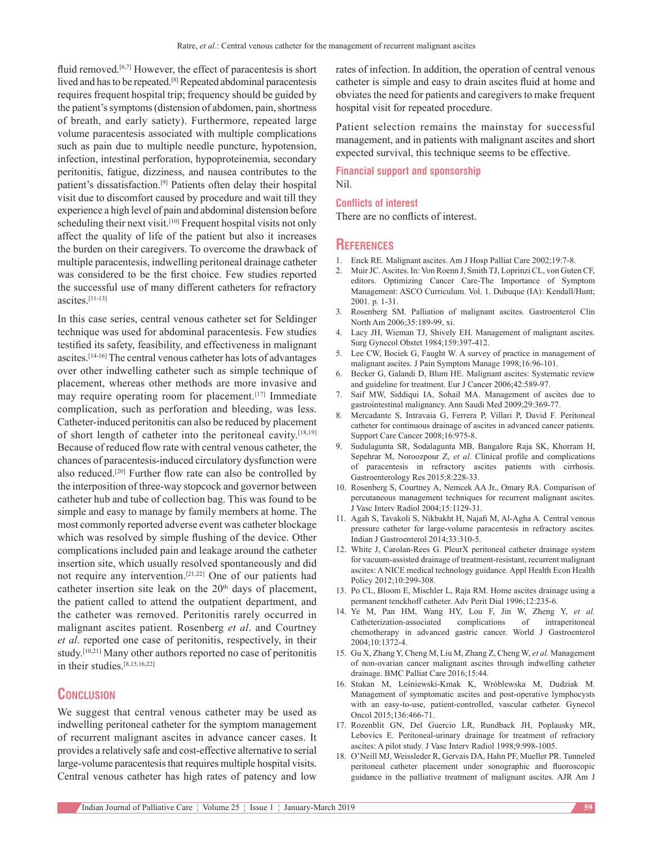fluid removed.<sup>[6,7]</sup> However, the effect of paracentesis is short lived and has to be repeated.[8] Repeated abdominal paracentesis requires frequent hospital trip; frequency should be guided by the patient's symptoms(distension of abdomen, pain, shortness of breath, and early satiety). Furthermore, repeated large volume paracentesis associated with multiple complications such as pain due to multiple needle puncture, hypotension, infection, intestinal perforation, hypoproteinemia, secondary peritonitis, fatigue, dizziness, and nausea contributes to the patient's dissatisfaction.[9] Patients often delay their hospital visit due to discomfort caused by procedure and wait till they experience a high level of pain and abdominal distension before scheduling their next visit.<sup>[10]</sup> Frequent hospital visits not only affect the quality of life of the patient but also it increases the burden on their caregivers. To overcome the drawback of multiple paracentesis, indwelling peritoneal drainage catheter was considered to be the first choice. Few studies reported the successful use of many different catheters for refractory ascites.[11-13]

In this case series, central venous catheter set for Seldinger technique was used for abdominal paracentesis. Few studies testified its safety, feasibility, and effectiveness in malignant ascites.[14-16] The central venous catheter has lots of advantages over other indwelling catheter such as simple technique of placement, whereas other methods are more invasive and may require operating room for placement.<sup>[17]</sup> Immediate complication, such as perforation and bleeding, was less. Catheter-induced peritonitis can also be reduced by placement of short length of catheter into the peritoneal cavity.[18,19] Because of reduced flow rate with central venous catheter, the chances of paracentesis-induced circulatory dysfunction were also reduced.[20] Further flow rate can also be controlled by the interposition of three-way stopcock and governor between catheter hub and tube of collection bag. This was found to be simple and easy to manage by family members at home. The most commonly reported adverse event was catheter blockage which was resolved by simple flushing of the device. Other complications included pain and leakage around the catheter insertion site, which usually resolved spontaneously and did not require any intervention.[21,22] One of our patients had catheter insertion site leak on the  $20<sup>th</sup>$  days of placement, the patient called to attend the outpatient department, and the catheter was removed. Peritonitis rarely occurred in malignant ascites patient. Rosenberg *et al*. and Courtney *et al*. reported one case of peritonitis, respectively, in their study.[10,21] Many other authors reported no case of peritonitis in their studies.[8,15,16,22]

# **Conclusion**

We suggest that central venous catheter may be used as indwelling peritoneal catheter for the symptom management of recurrent malignant ascites in advance cancer cases. It provides a relatively safe and cost-effective alternative to serial large-volume paracentesis that requires multiple hospital visits. Central venous catheter has high rates of patency and low

rates of infection. In addition, the operation of central venous catheter is simple and easy to drain ascites fluid at home and obviates the need for patients and caregivers to make frequent hospital visit for repeated procedure.

Patient selection remains the mainstay for successful management, and in patients with malignant ascites and short expected survival, this technique seems to be effective.

**Financial support and sponsorship** Nil.

#### **Conflicts of interest**

There are no conflicts of interest.

#### **References**

- 1. Enck RE. Malignant ascites. Am J Hosp Palliat Care 2002;19:7-8.
- 2. MuirJC. Ascites. In: Von Roenn J, Smith TJ, Loprinzi CL, von Guten CF, editors. Optimizing Cancer Care-The Importance of Symptom Management: ASCO Curriculum. Vol. 1. Dubuque (IA): Kendall/Hunt; 2001. p. 1-31.
- 3. Rosenberg SM. Palliation of malignant ascites. Gastroenterol Clin North Am 2006;35:189-99, xi.
- 4. Lacy JH, Wieman TJ, Shively EH. Management of malignant ascites. Surg Gynecol Obstet 1984;159:397-412.
- 5. Lee CW, Bociek G, Faught W. A survey of practice in management of malignant ascites. J Pain Symptom Manage 1998;16:96-101.
- 6. Becker G, Galandi D, Blum HE. Malignant ascites: Systematic review and guideline for treatment. Eur J Cancer 2006;42:589-97.
- 7. Saif MW, Siddiqui IA, Sohail MA. Management of ascites due to gastrointestinal malignancy. Ann Saudi Med 2009;29:369-77.
- 8. Mercadante S, Intravaia G, Ferrera P, Villari P, David F. Peritoneal catheter for continuous drainage of ascites in advanced cancer patients. Support Care Cancer 2008;16:975-8.
- 9. Sudulagunta SR, Sodalagunta MB, Bangalore Raja SK, Khorram H, Sepehrar M, Noroozpour Z, *et al.* Clinical profile and complications of paracentesis in refractory ascites patients with cirrhosis. Gastroenterology Res 2015;8:228-33.
- 10. Rosenberg S, Courtney A, Nemcek AA Jr., Omary RA. Comparison of percutaneous management techniques for recurrent malignant ascites. J Vasc Interv Radiol 2004;15:1129-31.
- 11. Agah S, Tavakoli S, Nikbakht H, Najafi M, Al‑Agha A. Central venous pressure catheter for large-volume paracentesis in refractory ascites. Indian J Gastroenterol 2014;33:310-5.
- 12. White J, Carolan-Rees G. PleurX peritoneal catheter drainage system for vacuum-assisted drainage of treatment-resistant, recurrent malignant ascites: A NICE medical technology guidance. Appl Health Econ Health Policy 2012;10:299-308.
- 13. Po CL, Bloom E, Mischler L, Raja RM. Home ascites drainage using a permanent tenckhoff catheter. Adv Perit Dial 1996;12:235-6.
- 14. Ye M, Pan HM, Wang HY, Lou F, Jin W, Zheng Y, *et al.* Catheterization-associated complications of intraperitoneal chemotherapy in advanced gastric cancer. World J Gastroenterol 2004;10:1372-4.
- 15. Gu X, Zhang Y, Cheng M, Liu M, Zhang Z, Cheng W, *et al.* Management of non-ovarian cancer malignant ascites through indwelling catheter drainage. BMC Palliat Care 2016;15:44.
- 16. Stukan M, Leśniewski‑Kmak K, Wróblewska M, Dudziak M. Management of symptomatic ascites and post-operative lymphocysts with an easy-to-use, patient-controlled, vascular catheter. Gynecol Oncol 2015;136:466-71.
- 17. Rozenblit GN, Del Guercio LR, Rundback JH, Poplausky MR, Lebovics E. Peritoneal-urinary drainage for treatment of refractory ascites: A pilot study. J Vasc Interv Radiol 1998;9:998-1005.
- 18. O'Neill MJ, Weissleder R, Gervais DA, Hahn PF, Mueller PR. Tunneled peritoneal catheter placement under sonographic and fluoroscopic guidance in the palliative treatment of malignant ascites. AJR Am J